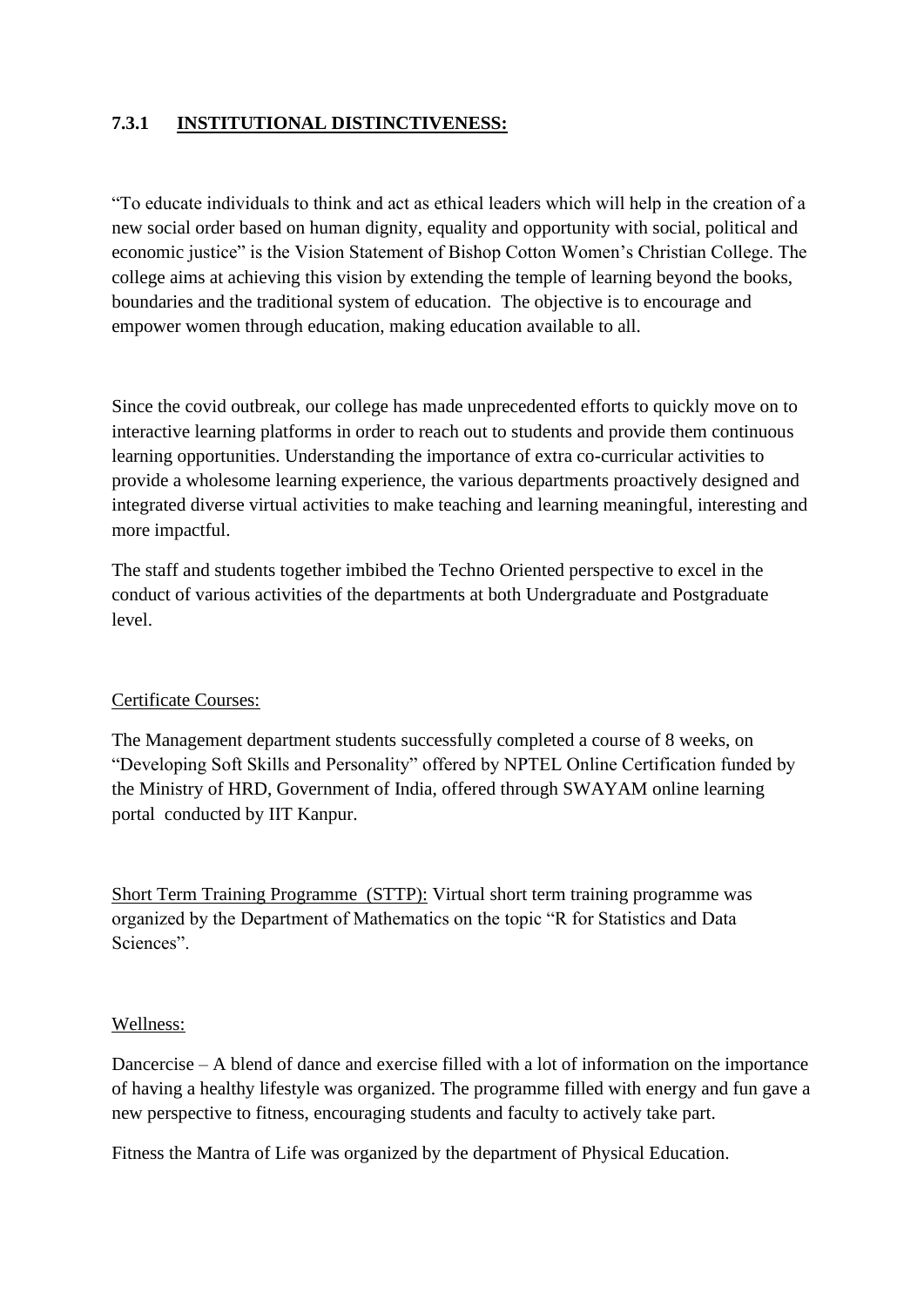# **7.3.1 INSTITUTIONAL DISTINCTIVENESS:**

"To educate individuals to think and act as ethical leaders which will help in the creation of a new social order based on human dignity, equality and opportunity with social, political and economic justice" is the Vision Statement of Bishop Cotton Women's Christian College. The college aims at achieving this vision by extending the temple of learning beyond the books, boundaries and the traditional system of education. The objective is to encourage and empower women through education, making education available to all.

Since the covid outbreak, our college has made unprecedented efforts to quickly move on to interactive learning platforms in order to reach out to students and provide them continuous learning opportunities. Understanding the importance of extra co-curricular activities to provide a wholesome learning experience, the various departments proactively designed and integrated diverse virtual activities to make teaching and learning meaningful, interesting and more impactful.

The staff and students together imbibed the Techno Oriented perspective to excel in the conduct of various activities of the departments at both Undergraduate and Postgraduate level.

### Certificate Courses:

The Management department students successfully completed a course of 8 weeks, on "Developing Soft Skills and Personality" offered by NPTEL Online Certification funded by the Ministry of HRD, Government of India, offered through SWAYAM online learning portal conducted by IIT Kanpur.

Short Term Training Programme (STTP): Virtual short term training programme was organized by the Department of Mathematics on the topic "R for Statistics and Data Sciences".

#### Wellness:

Dancercise – A blend of dance and exercise filled with a lot of information on the importance of having a healthy lifestyle was organized. The programme filled with energy and fun gave a new perspective to fitness, encouraging students and faculty to actively take part.

Fitness the Mantra of Life was organized by the department of Physical Education.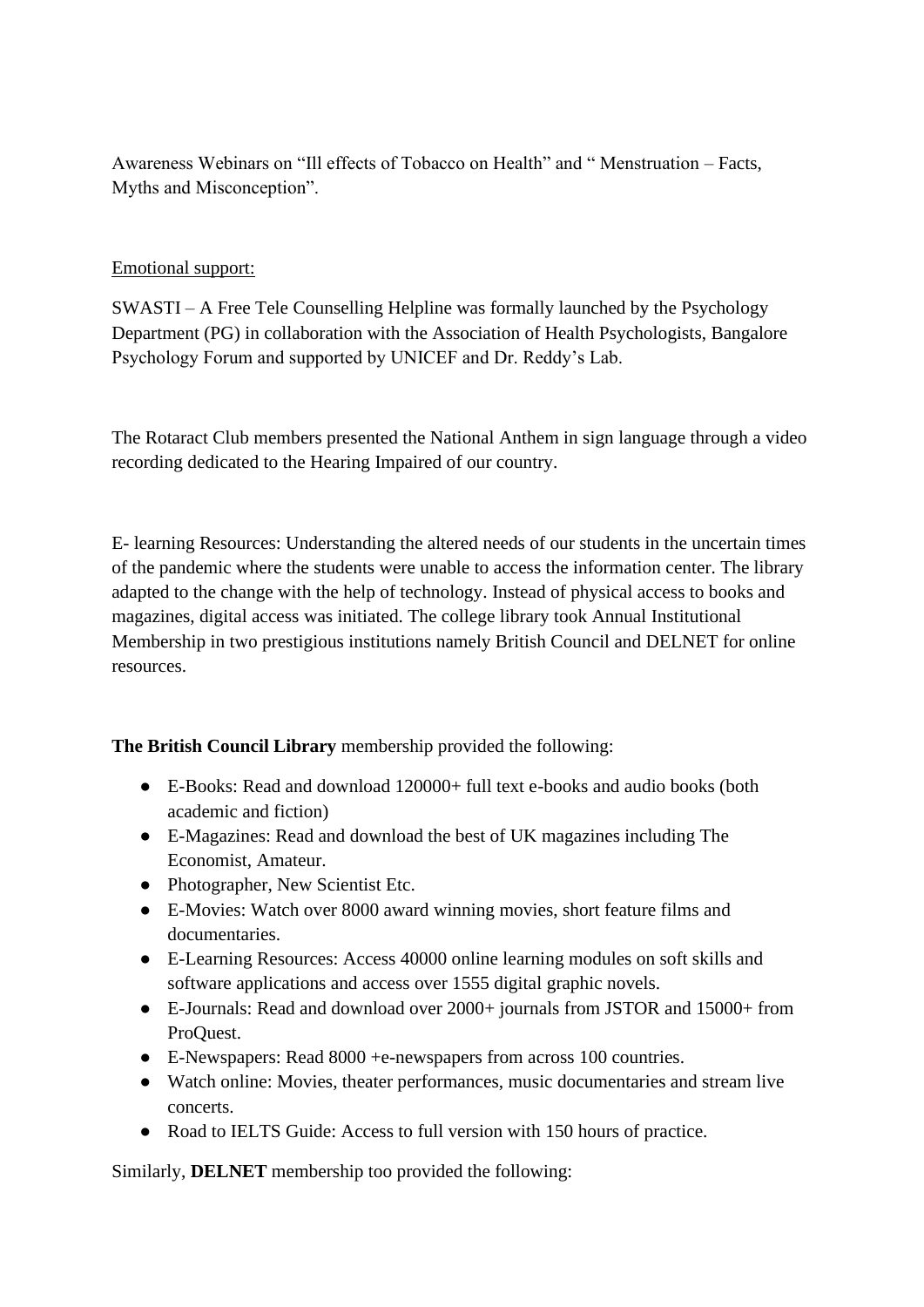Awareness Webinars on "Ill effects of Tobacco on Health" and " Menstruation – Facts, Myths and Misconception".

## Emotional support:

SWASTI – A Free Tele Counselling Helpline was formally launched by the Psychology Department (PG) in collaboration with the Association of Health Psychologists, Bangalore Psychology Forum and supported by UNICEF and Dr. Reddy's Lab.

The Rotaract Club members presented the National Anthem in sign language through a video recording dedicated to the Hearing Impaired of our country.

E- learning Resources: Understanding the altered needs of our students in the uncertain times of the pandemic where the students were unable to access the information center. The library adapted to the change with the help of technology. Instead of physical access to books and magazines, digital access was initiated. The college library took Annual Institutional Membership in two prestigious institutions namely British Council and DELNET for online resources.

**The British Council Library** membership provided the following:

- E-Books: Read and download 120000+ full text e-books and audio books (both academic and fiction)
- E-Magazines: Read and download the best of UK magazines including The Economist, Amateur.
- Photographer, New Scientist Etc.
- E-Movies: Watch over 8000 award winning movies, short feature films and documentaries.
- E-Learning Resources: Access 40000 online learning modules on soft skills and software applications and access over 1555 digital graphic novels.
- E-Journals: Read and download over 2000+ journals from JSTOR and 15000+ from ProQuest.
- E-Newspapers: Read 8000 +e-newspapers from across 100 countries.
- Watch online: Movies, theater performances, music documentaries and stream live concerts.
- Road to IELTS Guide: Access to full version with 150 hours of practice.

Similarly, **DELNET** membership too provided the following: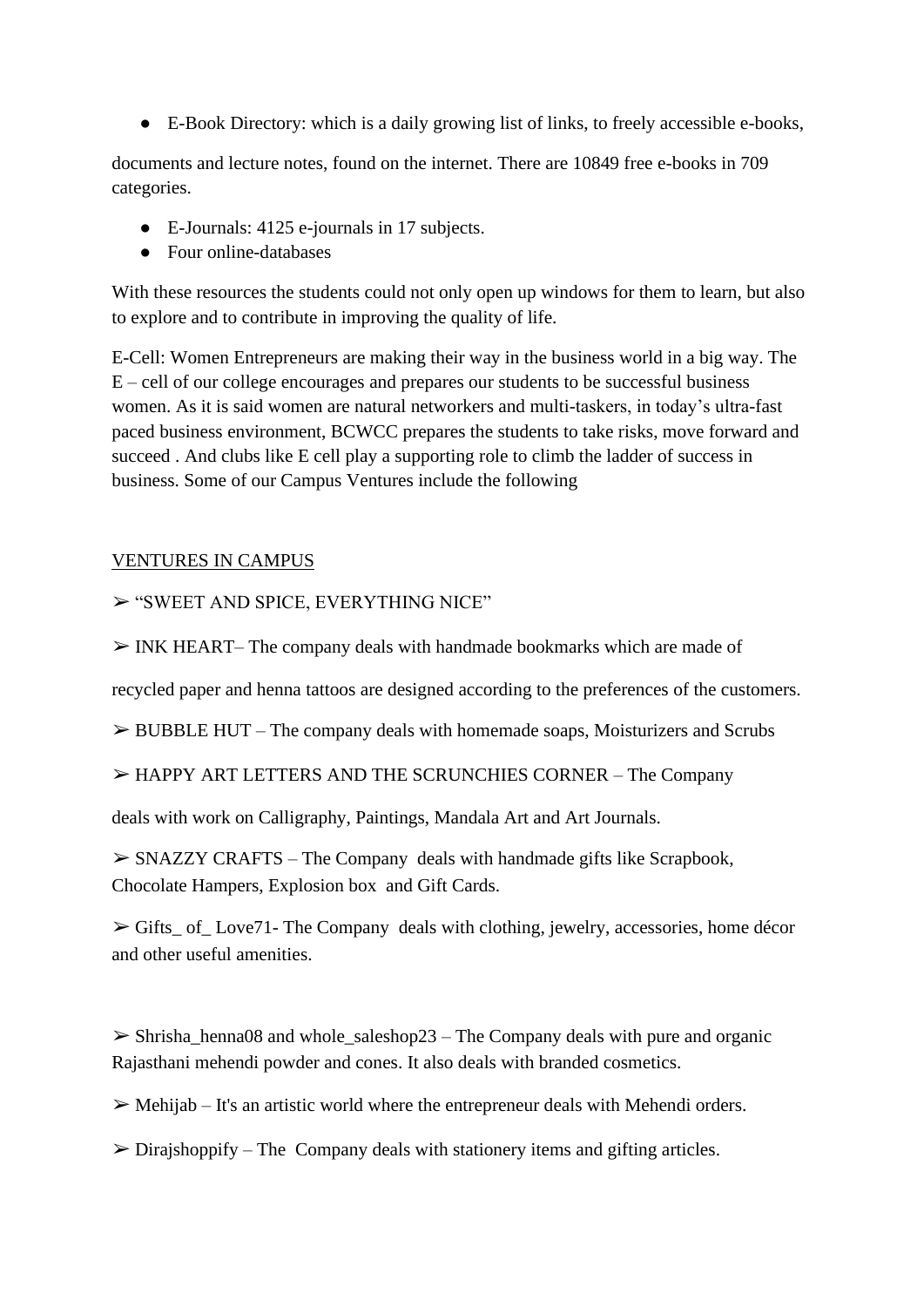● E-Book Directory: which is a daily growing list of links, to freely accessible e-books,

documents and lecture notes, found on the internet. There are 10849 free e-books in 709 categories.

- E-Journals: 4125 e-journals in 17 subjects.
- Four online-databases

With these resources the students could not only open up windows for them to learn, but also to explore and to contribute in improving the quality of life.

E-Cell: Women Entrepreneurs are making their way in the business world in a big way. The E – cell of our college encourages and prepares our students to be successful business women. As it is said women are natural networkers and multi-taskers, in today's ultra-fast paced business environment, BCWCC prepares the students to take risks, move forward and succeed . And clubs like E cell play a supporting role to climb the ladder of success in business. Some of our Campus Ventures include the following

## VENTURES IN CAMPUS

➢ "SWEET AND SPICE, EVERYTHING NICE"

 $\triangleright$  INK HEART– The company deals with handmade bookmarks which are made of

recycled paper and henna tattoos are designed according to the preferences of the customers.

 $\triangleright$  BUBBLE HUT – The company deals with homemade soaps, Moisturizers and Scrubs

➢ HAPPY ART LETTERS AND THE SCRUNCHIES CORNER – The Company

deals with work on Calligraphy, Paintings, Mandala Art and Art Journals.

 $\triangleright$  SNAZZY CRAFTS – The Company deals with handmade gifts like Scrapbook, Chocolate Hampers, Explosion box and Gift Cards.

 $\triangleright$  Gifts of Love71- The Company deals with clothing, jewelry, accessories, home décor and other useful amenities.

 $\triangleright$  Shrisha\_henna08 and whole\_saleshop23 – The Company deals with pure and organic Rajasthani mehendi powder and cones. It also deals with branded cosmetics.

 $\triangleright$  Mehijab – It's an artistic world where the entrepreneur deals with Mehendi orders.

 $\triangleright$  Dirajshoppify – The Company deals with stationery items and gifting articles.